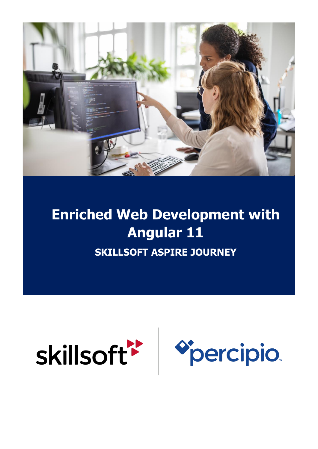

# **Enriched Web Development with Angular 11 SKILLSOFT ASPIRE JOURNEY**

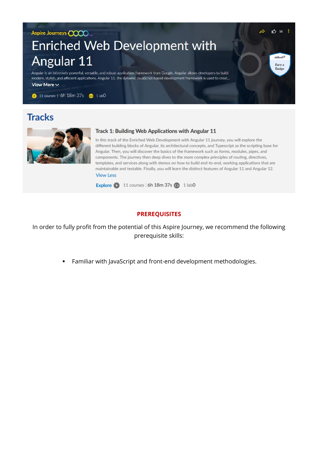#### Aspire Journeys **COOO**

## Enriched Web Development with Angular 11

Angular is an extremely powerful, versatile, and robust application framework from Google. Angular allows developers to build modern, stylish, and efficient applications. Angular 11, the dynamic JavaScript-based development framework is used to creat... View More  $\sim$ 

11 courses | 6h 18m 37s @ 1 lab0

## **Tracks**



#### Track 1: Building Web Applications with Angular 11

In this track of the Enriched Web Development with Angular 11 journey, you will explore the different building blocks of Angular, its architectural concepts, and Typescript as the scripting base for Angular. Then, you will discover the basics of the framework such as forms, modules, pipes, and components. The journey then deep dives to the more complex principles of routing, directives, templates, and services along with demos on how to build end-to-end, working applications that are maintainable and testable. Finally, you will learn the distinct features of Angular 11 and Angular 12. **View Less** 

 $12$ 

skillsoft<sup>\*</sup> Earn a **Badge** 

Explore 2 11 courses 6h 18m 37s 2 1 lab0

#### **PREREQUISITES**

In order to fully profit from the potential of this Aspire Journey, we recommend the following prerequisite skills:

**•** Familiar with JavaScript and front-end development methodologies.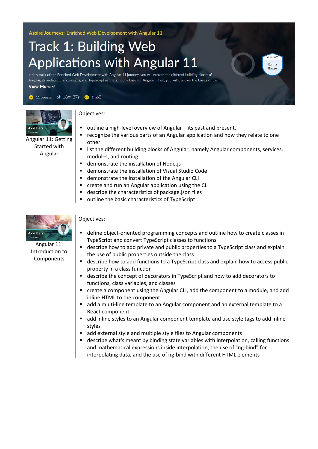Aspire Journeys: Enriched Web Development with Angular 11

# **Track 1: Building Web Applications with Angular 11**

In this track of the Enriched Web Development with Angular 11 journey, you will explore the different building blocks of Angular, its architectural concepts, and Typescript as the scripting base for Angular. Then, you will discover the basics of the fr... View More V

11 courses | 6h 18m 37s @ 1 lab0



Angular 11: Getting Started with Angular

#### Objectives:

- outline a high-level overview of Angular its past and present.
- recognize the various parts of an Angular application and how they relate to one other

**killsoft** 

**Badge** 

- list the different building blocks of Angular, namely Angular components, services, modules, and routing
- demonstrate the installation of Node.js
- demonstrate the installation of Visual Studio Code
- demonstrate the installation of the Angular CLI
- create and run an Angular application using the CLI
- describe the characteristics of package.json files
- outline the basic characteristics of TypeScript



Angular 11: Introduction to Components

- define object-oriented programming concepts and outline how to create classes in TypeScript and convert TypeScript classes to functions
- describe how to add private and public properties to a TypeScript class and explain the use of public properties outside the class
- describe how to add functions to a TypeScript class and explain how to access public property in a class function
- describe the concept of decorators in TypeScript and how to add decorators to functions, class variables, and classes
- create a component using the Angular CLI, add the component to a module, and add inline HTML to the component
- add a multi-line template to an Angular component and an external template to a React component
- add inline styles to an Angular component template and use style tags to add inline styles
- add external style and multiple style files to Angular components
- describe what's meant by binding state variables with interpolation, calling functions and mathematical expressions inside interpolation, the use of "ng-bind" for interpolating data, and the use of ng-bind with different HTML elements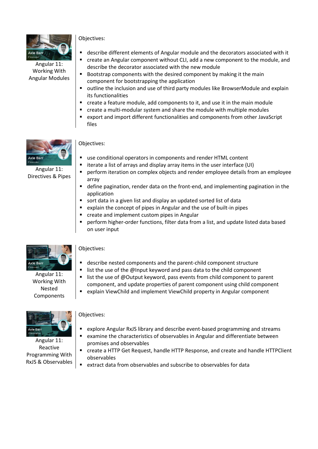

#### Angular 11: Working With Angular Modules

#### Objectives:

- describe different elements of Angular module and the decorators associated with it
- create an Angular component without CLI, add a new component to the module, and describe the decorator associated with the new module
- Bootstrap components with the desired component by making it the main component for bootstrapping the application
- outline the inclusion and use of third party modules like BrowserModule and explain its functionalities
- create a feature module, add components to it, and use it in the main module
- create a multi-modular system and share the module with multiple modules
- export and import different functionalities and components from other JavaScript files



Angular 11: Directives & Pipes

#### Objectives:

- use conditional operators in components and render HTML content
- iterate a list of arrays and display array items in the user interface (UI)
- **•** perform iteration on complex objects and render employee details from an employee array
- define pagination, render data on the front-end, and implementing pagination in the application
- sort data in a given list and display an updated sorted list of data
- explain the concept of pipes in Angular and the use of built-in pipes
- create and implement custom pipes in Angular
- perform higher-order functions, filter data from a list, and update listed data based on user input



Angular 11: Working With Nested Components

#### Objectives:

- describe nested components and the parent-child component structure
- list the use of the @Input keyword and pass data to the child component
- list the use of @Output keyword, pass events from child component to parent component, and update properties of parent component using child component
- explain ViewChild and implement ViewChild property in Angular component



Angular 11: Reactive Programming With RxJS & Observables

- explore Angular RxJS library and describe event-based programming and streams
- examine the characteristics of observables in Angular and differentiate between promises and observables
- create a HTTP Get Request, handle HTTP Response, and create and handle HTTPClient observables
- extract data from observables and subscribe to observables for data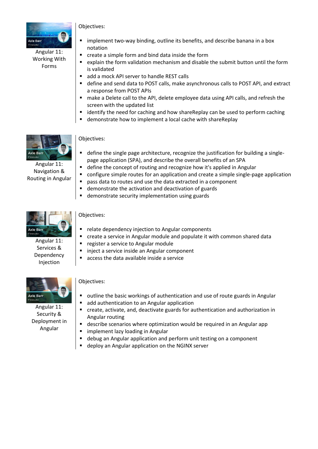

Angular 11: Working With Forms

- Objectives:
- implement two-way binding, outline its benefits, and describe banana in a box notation
- create a simple form and bind data inside the form
- explain the form validation mechanism and disable the submit button until the form is validated
- add a mock API server to handle REST calls
- define and send data to POST calls, make asynchronous calls to POST API, and extract a response from POST APIs
- make a Delete call to the API, delete employee data using API calls, and refresh the screen with the updated list
- identify the need for caching and how shareReplay can be used to perform caching
- demonstrate how to implement a local cache with shareReplay



Angular 11: Navigation & Routing in Angular

#### Objectives:

- define the single page architecture, recognize the justification for building a singlepage application (SPA), and describe the overall benefits of an SPA
- define the concept of routing and recognize how it's applied in Angular
- configure simple routes for an application and create a simple single-page application
- pass data to routes and use the data extracted in a component
- demonstrate the activation and deactivation of guards
- demonstrate security implementation using guards



Angular 11: Services & Dependency Injection

#### Objectives:

- relate dependency injection to Angular components
- create a service in Angular module and populate it with common shared data
- register a service to Angular module
- inject a service inside an Angular component
- access the data available inside a service



#### Angular 11: Security & Deployment in Angular

- outline the basic workings of authentication and use of route guards in Angular
- add authentication to an Angular application
- create, activate, and, deactivate guards for authentication and authorization in Angular routing
- describe scenarios where optimization would be required in an Angular app
- implement lazy loading in Angular
- debug an Angular application and perform unit testing on a component
- deploy an Angular application on the NGINX server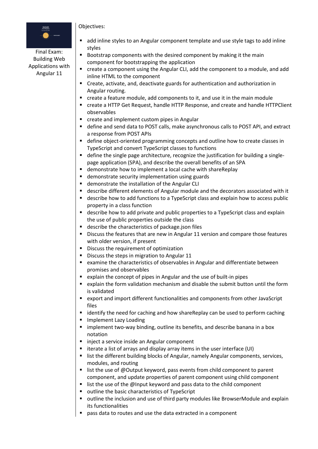# -<br>APRICATIONS<br>WTH ANCELAR 1

#### Final Exam: Building Web Applications with Angular 11

- add inline styles to an Angular component template and use style tags to add inline styles
- Bootstrap components with the desired component by making it the main component for bootstrapping the application
- create a component using the Angular CLI, add the component to a module, and add inline HTML to the component
- Create, activate, and, deactivate guards for authentication and authorization in Angular routing.
- create a feature module, add components to it, and use it in the main module
- create a HTTP Get Request, handle HTTP Response, and create and handle HTTPClient observables
- create and implement custom pipes in Angular
- define and send data to POST calls, make asynchronous calls to POST API, and extract a response from POST APIs
- define object-oriented programming concepts and outline how to create classes in TypeScript and convert TypeScript classes to functions
- define the single page architecture, recognize the justification for building a singlepage application (SPA), and describe the overall benefits of an SPA
- demonstrate how to implement a local cache with shareReplay
- demonstrate security implementation using guards
- demonstrate the installation of the Angular CLI
- describe different elements of Angular module and the decorators associated with it
- describe how to add functions to a TypeScript class and explain how to access public property in a class function
- describe how to add private and public properties to a TypeScript class and explain the use of public properties outside the class
- describe the characteristics of package.json files
- **Discuss the features that are new in Angular 11 version and compare those features** with older version, if present
- Discuss the requirement of optimization
- Discuss the steps in migration to Angular 11
- examine the characteristics of observables in Angular and differentiate between promises and observables
- explain the concept of pipes in Angular and the use of built-in pipes
- explain the form validation mechanism and disable the submit button until the form is validated
- export and import different functionalities and components from other JavaScript files
- identify the need for caching and how shareReplay can be used to perform caching
- Implement Lazy Loading
- **E** implement two-way binding, outline its benefits, and describe banana in a box notation
- inject a service inside an Angular component
- iterate a list of arrays and display array items in the user interface (UI)
- list the different building blocks of Angular, namely Angular components, services, modules, and routing
- list the use of @Output keyword, pass events from child component to parent component, and update properties of parent component using child component
- list the use of the @Input keyword and pass data to the child component
- outline the basic characteristics of TypeScript
- outline the inclusion and use of third party modules like BrowserModule and explain its functionalities
- pass data to routes and use the data extracted in a component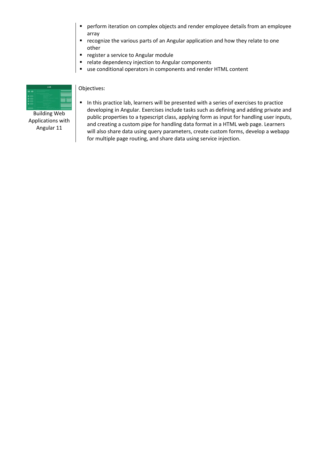- perform iteration on complex objects and render employee details from an employee array
- recognize the various parts of an Angular application and how they relate to one other
- register a service to Angular module
- relate dependency injection to Angular components
- use conditional operators in components and render HTML content



Building Web Applications with Angular 11

#### Objectives:

■ In this practice lab, learners will be presented with a series of exercises to practice developing in Angular. Exercises include tasks such as defining and adding private and public properties to a typescript class, applying form as input for handling user inputs, and creating a custom pipe for handling data format in a HTML web page. Learners will also share data using query parameters, create custom forms, develop a webapp for multiple page routing, and share data using service injection.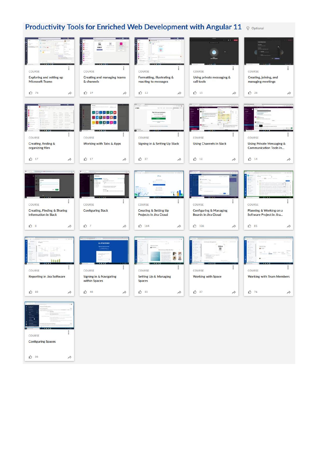### **Productivity Tools for Enriched Web Development with Angular 11** Q Optional



 $120$ 

 $\overrightarrow{r}$